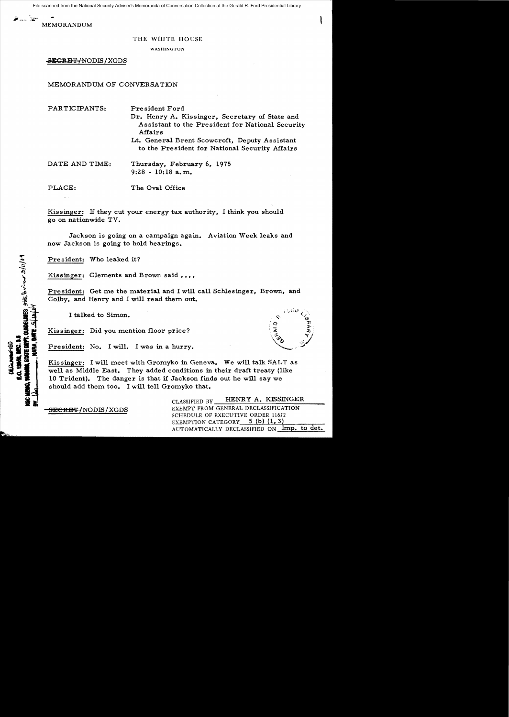File scanned from the National Security Adviser's Memoranda of Conversation Collection at the Gerald R. Ford Presidential Library

7... `z~

**MEMORANDUM** 

## THE WHITE HOUSE

WASHINGTON

<del>SECRET/N</del>ODIS/XGDS

MEMORANDUM OF CONVERSATION

PARTICIPANTS: President Ford Dr. Henry A. Kissinger, Secretary of State and Assistant to the President for National Security Affairs Lt. General Brent Scowcroft, Deputy Assistant to the President for National Security Affairs

DATE AND TIME: Thursday, February 6, 1975  $9:28 - 10:18$  a.m.

PLACE:

The Oval Office

Kissinger: If they cut your energy tax authority, I think you should go on nationwide TV.

Jackson is going on a campaign again. Aviation Week leaks and now Jackson is going to hold hearings.

President: Who leaked it?

Kissinger: Clements and Brown said ....

President: Get me the material and I will call Schlesinger, Brown, and Colby, and Henry and I will read them out.

I talked to Simon.

Kissinger: Did you mention floor price?

President: No. I will. I was in a hurry.

Kissinger: I will meet with Gromyko in Geneva. We will talk SALT as well as Middle East. They added conditions in their draft treaty (like 10 Trident). The danger is that if Jackson finds out he will say we should add them too. I will tell Gromyko that.

<del>SECRET</del>/NODIS/XGDS

HENRY A. KISSINGER CLASSIFIED BY EXEMPT FROM GENERAL DECLASSIFICATION SCHEDULE OF EXECUTIVE ORDER 11652 EXEMPTION CATEGORY 5 (b) (1, 3) AUTOMATICALLY DECLASSIFIED ON Imp. to det.

UE DEPT. QUIDELINES SHAR DU JUNUA 3/11/04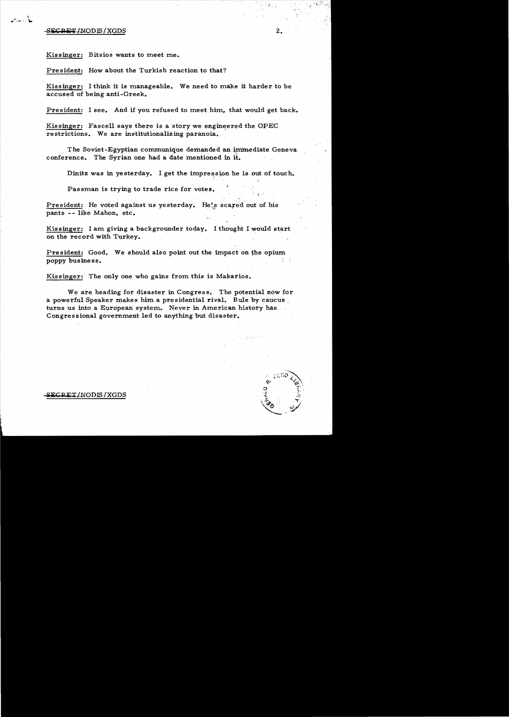## SEGRET/NODIS/XGDS

 $\mathcal{L} \rightarrow \mathcal{L}$ 

Kissinger: Bitsios wants to meet me.

President: How about the Turkish reaction to that?

Kissinger: I think it is manageable. We need to make it harder to be accused of being anti-Greek.

President: I see. And if you refused to meet him, that would get back.

Kissinger: Fascell says there is a story we engineered the OPEC restrictions. We are institutionalizing paranoia.

The Soviet-Egyptian communique demanded an immediate Geneva conference. The Syrian one had a date mentioned in it.

Dinitz was in yesterday. I get the impression he is out of touch.

Passman is trying to trade rice for votes.

President: He voted against us yesterday. He's scared out of his pants -- like Mahon, etc.

Kissinger: I am giving a backgrounder today. I thought I would start· on the record with Turkey.

President: Good. We should also point out the impact on the opium poppy business.

Kissinger: The only one who gains from this is Makarios.

We are heading for disaster in Congress. The potential now for a powerful Speaker makes him a presidential rival. Rule by caucus turns us into a European system. Never in American history has Congressional government led to anything but disaster.

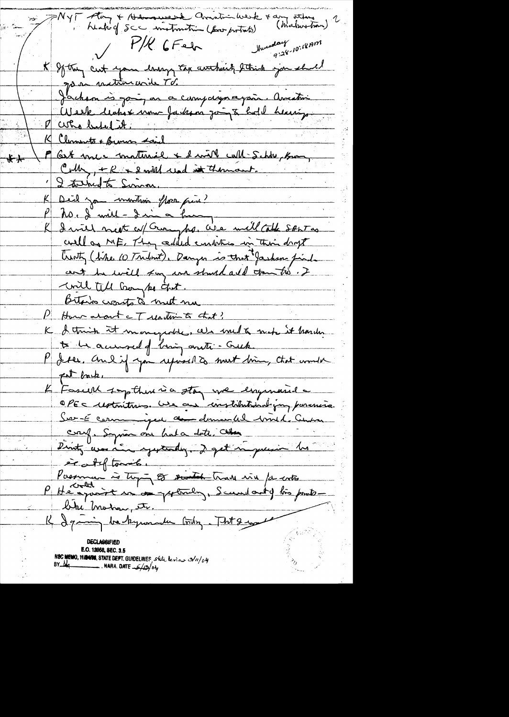PNYT Along + Holmowers Christian Wesk + am others ( maker tron) healing Scc instruction (for protects)  $\frac{P/R}{GFed}$  such the substant  $\frac{1}{q!28\cdot10^{7}}$ \* If they cut you large top arthit strich jou shell go an matinaurile Td. Jackson is going an a cumpagnagair. Amestine<br>Week licher nou Jadam point bot l heurig. K Clements + Browns said K Chamate + Burns sans<br>P Cent vous maturiel + 2 mill cult Schte, Burns I taked to Simon. Deil you inviting flore pine? no. I will - dai a ku I will next co/ Guryho, We will Cathe SANT as K well as ME, They added embities in this dropt trenty (tike 10 Tribut). Danzer is that Jasham find ant he will say un should all tometres. I unil till Gong ko chet. Bitano crossto à met me P How about a T untim to that? K I think it mongedte, als melt not it harden to be accured of bring anti-Guck. P dres, and if you reposed to meet bin, that would fat book, Fascell supthere is a stay we engineed  $\cancel{\mathcal{L}}$ . OPEC restoritoires. We are constitutionalizan paramerica. Sur-é communique au demande mil. Census<br>court : Soymon au haba date : Cetern Dinty use in yesterday. I get in quesion his erateftonik. Passman is top of south trave wire for ents blue motion etc. R Igaing backgrounder today. That I would **DECLASSIFIE** E.O. 12968, SEC. 3.5 NSC MEMO, 11/2498, STATE DEPT. GUIDELINES, state leview 3/11/04  $BY$ - $Mq$ . NARA. DATE  $\frac{1}{\sqrt{2}}/5$